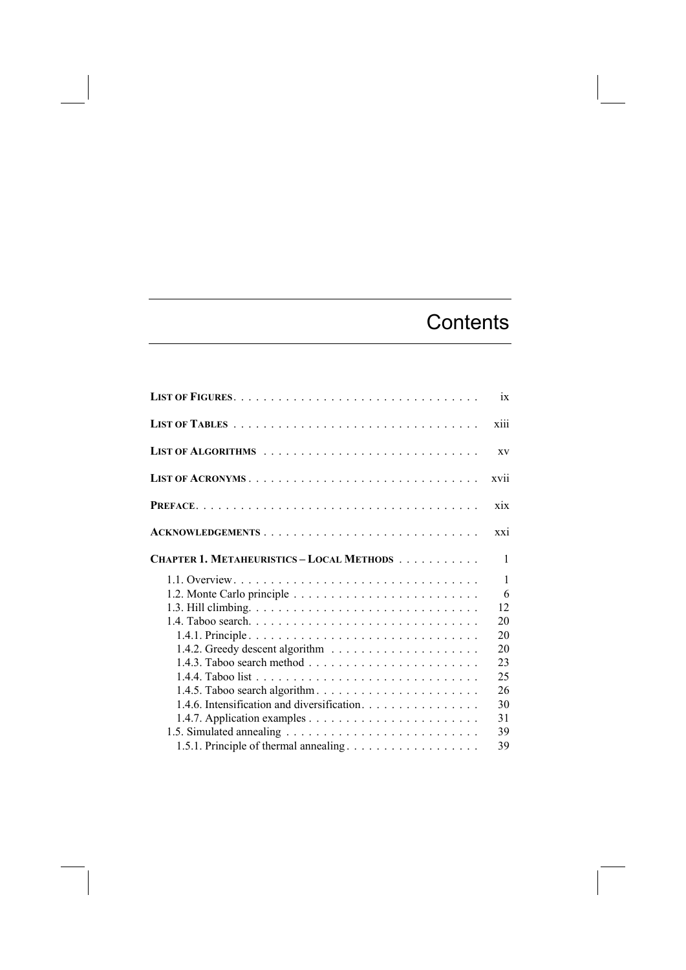## **Contents**

|                                                  | ix                          |
|--------------------------------------------------|-----------------------------|
|                                                  | xiii                        |
|                                                  | <b>XV</b>                   |
|                                                  | xvii                        |
|                                                  | xix                         |
| ACKNOWLEDGEMENTS                                 | $\overline{X}X\overline{1}$ |
| <b>CHAPTER 1. METAHEURISTICS – LOCAL METHODS</b> | $\mathbf{1}$                |
|                                                  | $\mathbf{1}$<br>6<br>12     |
|                                                  | 20<br>20<br>20              |
|                                                  | 23<br>25                    |
| 1.4.6. Intensification and diversification.      | 26<br>30                    |
| 1.5.1. Principle of thermal annealing            | 31<br>39<br>39              |
|                                                  |                             |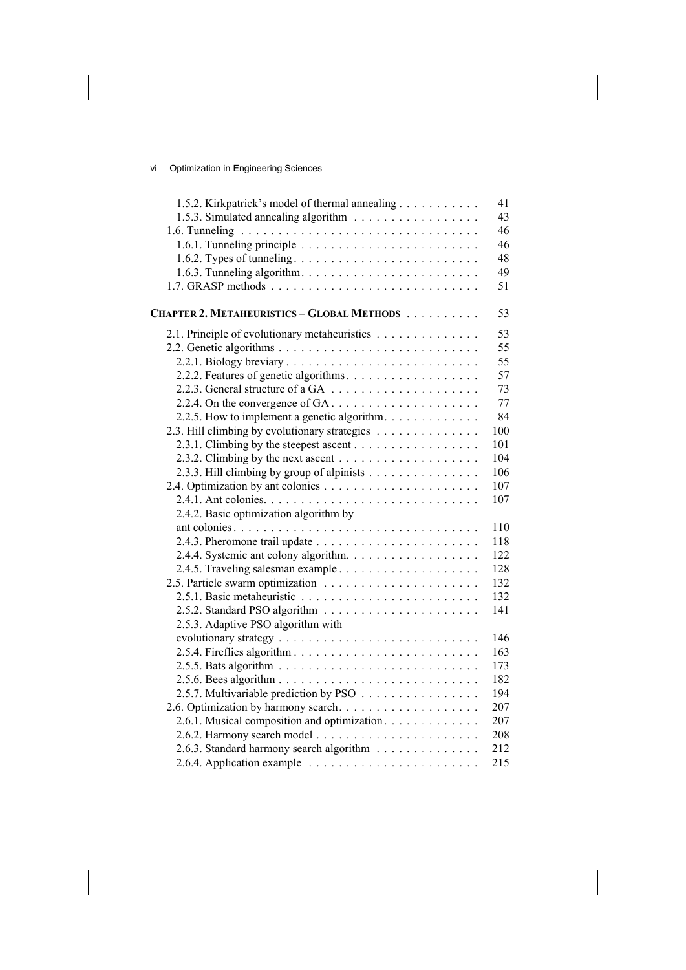| 1.5.2. Kirkpatrick's model of thermal annealing                             | 41  |
|-----------------------------------------------------------------------------|-----|
|                                                                             | 43  |
|                                                                             | 46  |
|                                                                             | 46  |
|                                                                             | 48  |
|                                                                             | 49  |
|                                                                             | 51  |
| CHAPTER 2. METAHEURISTICS - GLOBAL METHODS                                  | 53  |
| 2.1. Principle of evolutionary metaheuristics                               | 53  |
|                                                                             | 55  |
|                                                                             | 55  |
|                                                                             | 57  |
|                                                                             | 73  |
| 2.2.4. On the convergence of $GA \dots \dots \dots \dots \dots \dots \dots$ | 77  |
| 2.2.5. How to implement a genetic algorithm.                                | 84  |
| 2.3. Hill climbing by evolutionary strategies                               | 100 |
|                                                                             | 101 |
|                                                                             | 104 |
| 2.3.3. Hill climbing by group of alpinists                                  | 106 |
|                                                                             | 107 |
|                                                                             | 107 |
| 2.4.2. Basic optimization algorithm by                                      |     |
|                                                                             | 110 |
|                                                                             | 118 |
|                                                                             | 122 |
|                                                                             | 128 |
|                                                                             | 132 |
|                                                                             | 132 |
|                                                                             | 141 |
| 2.5.3. Adaptive PSO algorithm with                                          |     |
|                                                                             | 146 |
| 2.5.4. Fireflies algorithm                                                  | 163 |
|                                                                             | 173 |
|                                                                             | 182 |
| 2.5.7. Multivariable prediction by PSO                                      | 194 |
|                                                                             | 207 |
| 2.6.1. Musical composition and optimization.                                | 207 |
|                                                                             | 208 |
| 2.6.3. Standard harmony search algorithm                                    | 212 |
|                                                                             | 215 |
|                                                                             |     |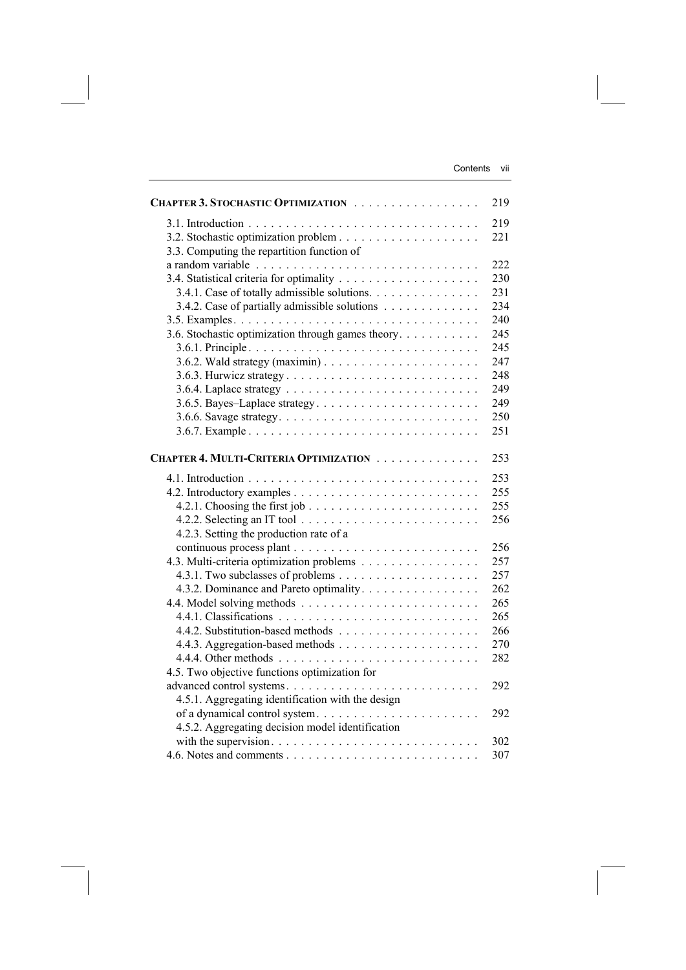| CHAPTER 3. STOCHASTIC OPTIMIZATION                 | 219 |
|----------------------------------------------------|-----|
|                                                    | 219 |
|                                                    | 221 |
| 3.3. Computing the repartition function of         |     |
|                                                    | 222 |
|                                                    | 230 |
| 3.4.1. Case of totally admissible solutions.       | 231 |
| 3.4.2. Case of partially admissible solutions      | 234 |
|                                                    | 240 |
| 3.6. Stochastic optimization through games theory. | 245 |
|                                                    | 245 |
|                                                    | 247 |
|                                                    | 248 |
|                                                    | 249 |
|                                                    | 249 |
|                                                    | 250 |
|                                                    | 251 |
|                                                    |     |
| CHAPTER 4. MULTI-CRITERIA OPTIMIZATION             | 253 |
|                                                    | 253 |
|                                                    | 255 |
|                                                    | 255 |
|                                                    | 256 |
| 4.2.3. Setting the production rate of a            |     |
|                                                    | 256 |
| 4.3. Multi-criteria optimization problems          | 257 |
|                                                    | 257 |
| 4.3.2. Dominance and Pareto optimality.            | 262 |
|                                                    | 265 |
|                                                    | 265 |
|                                                    | 266 |
|                                                    | 270 |
|                                                    | 282 |
| 4.5. Two objective functions optimization for      |     |
| advanced control systems                           | 292 |
| 4.5.1. Aggregating identification with the design  |     |
|                                                    | 292 |
| 4.5.2. Aggregating decision model identification   |     |
|                                                    | 302 |
|                                                    | 307 |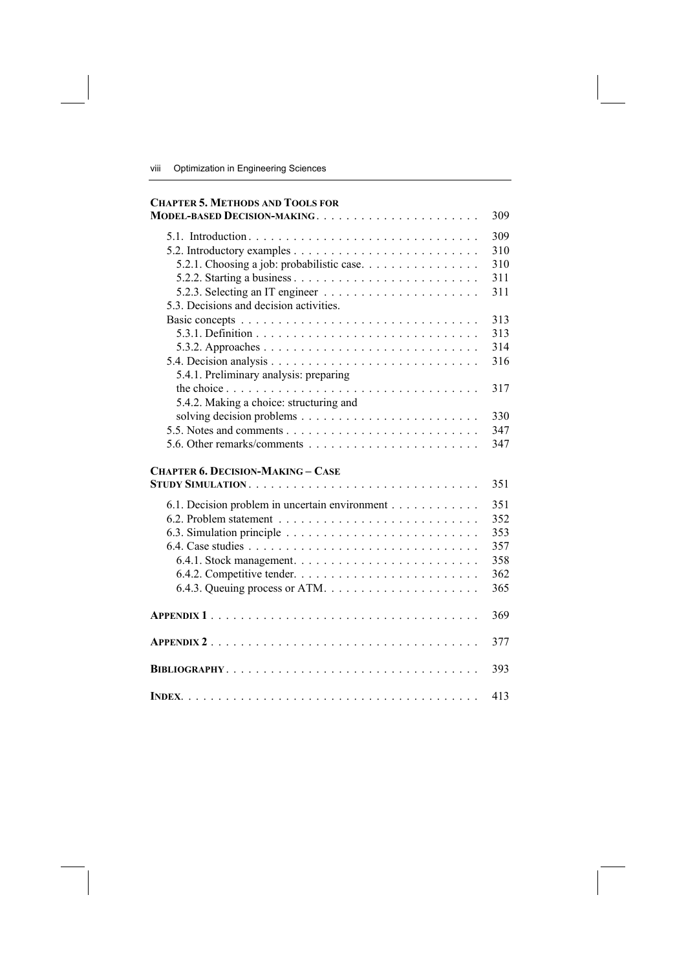| <b>CHAPTER 5. METHODS AND TOOLS FOR</b>        |     |
|------------------------------------------------|-----|
| MODEL-BASED DECISION-MAKING                    | 309 |
|                                                | 309 |
|                                                | 310 |
| 5.2.1. Choosing a job: probabilistic case      | 310 |
|                                                | 311 |
|                                                | 311 |
| 5.3. Decisions and decision activities.        |     |
|                                                | 313 |
|                                                | 313 |
|                                                | 314 |
|                                                | 316 |
| 5.4.1. Preliminary analysis: preparing         |     |
|                                                | 317 |
| 5.4.2. Making a choice: structuring and        |     |
|                                                | 330 |
|                                                | 347 |
|                                                | 347 |
| <b>CHAPTER 6. DECISION-MAKING - CASE</b>       |     |
|                                                | 351 |
| 6.1. Decision problem in uncertain environment | 351 |
|                                                | 352 |
|                                                | 353 |
|                                                | 357 |
|                                                | 358 |
|                                                | 362 |
|                                                | 365 |
|                                                |     |
|                                                | 369 |
|                                                | 377 |
|                                                | 393 |
|                                                | 413 |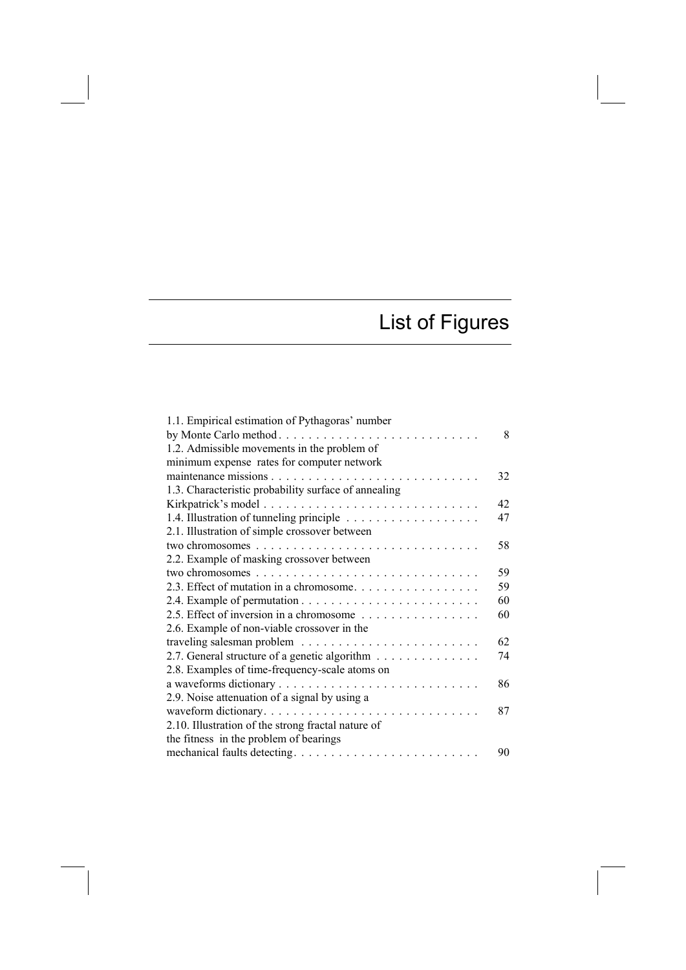## List of Figures

| 1.1. Empirical estimation of Pythagoras' number      |    |
|------------------------------------------------------|----|
| by Monte Carlo method                                | 8  |
| 1.2. Admissible movements in the problem of          |    |
| minimum expense rates for computer network           |    |
|                                                      | 32 |
| 1.3. Characteristic probability surface of annealing |    |
|                                                      | 42 |
|                                                      | 47 |
| 2.1. Illustration of simple crossover between        |    |
|                                                      | 58 |
| 2.2. Example of masking crossover between            |    |
|                                                      | 59 |
| 2.3. Effect of mutation in a chromosome.             | 59 |
|                                                      | 60 |
| 2.5. Effect of inversion in a chromosome             | 60 |
| 2.6. Example of non-viable crossover in the          |    |
|                                                      | 62 |
| 2.7. General structure of a genetic algorithm        | 74 |
| 2.8. Examples of time-frequency-scale atoms on       |    |
|                                                      | 86 |
| 2.9. Noise attenuation of a signal by using a        |    |
| waveform dictionary                                  | 87 |
| 2.10. Illustration of the strong fractal nature of   |    |
| the fitness in the problem of bearings               |    |
|                                                      | 90 |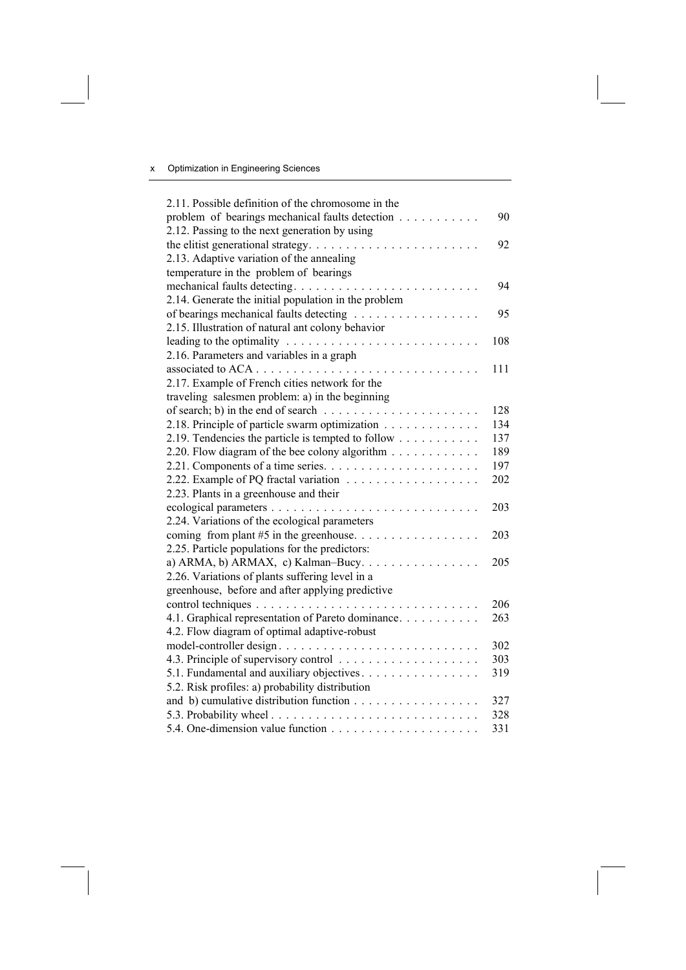| 2.11. Possible definition of the chromosome in the                                    |     |
|---------------------------------------------------------------------------------------|-----|
| problem of bearings mechanical faults detection                                       | 90  |
| 2.12. Passing to the next generation by using                                         |     |
| the elitist generational strategy. $\dots \dots \dots \dots \dots \dots \dots \dots$  | 92  |
| 2.13. Adaptive variation of the annealing                                             |     |
| temperature in the problem of bearings                                                |     |
| mechanical faults detecting                                                           | 94  |
| 2.14. Generate the initial population in the problem                                  |     |
| of bearings mechanical faults detecting                                               | 95  |
| 2.15. Illustration of natural ant colony behavior                                     |     |
| leading to the optimality $\ldots \ldots \ldots \ldots \ldots \ldots \ldots \ldots$   | 108 |
| 2.16. Parameters and variables in a graph                                             |     |
|                                                                                       | 111 |
| 2.17. Example of French cities network for the                                        |     |
| traveling salesmen problem: a) in the beginning                                       |     |
| of search; b) in the end of search $\ldots \ldots \ldots \ldots \ldots \ldots \ldots$ | 128 |
| 2.18. Principle of particle swarm optimization                                        | 134 |
| 2.19. Tendencies the particle is tempted to follow                                    | 137 |
| 2.20. Flow diagram of the bee colony algorithm                                        | 189 |
| 2.21. Components of a time series. $\dots \dots \dots \dots \dots \dots \dots \dots$  | 197 |
|                                                                                       | 202 |
| 2.23. Plants in a greenhouse and their                                                |     |
|                                                                                       | 203 |
| 2.24. Variations of the ecological parameters                                         |     |
|                                                                                       | 203 |
| 2.25. Particle populations for the predictors:                                        |     |
|                                                                                       | 205 |
| 2.26. Variations of plants suffering level in a                                       |     |
| greenhouse, before and after applying predictive                                      |     |
|                                                                                       | 206 |
| 4.1. Graphical representation of Pareto dominance.                                    | 263 |
| 4.2. Flow diagram of optimal adaptive-robust                                          |     |
|                                                                                       | 302 |
|                                                                                       | 303 |
| 5.1. Fundamental and auxiliary objectives.                                            | 319 |
| 5.2. Risk profiles: a) probability distribution                                       |     |
| and b) cumulative distribution function                                               | 327 |
|                                                                                       | 328 |
|                                                                                       | 331 |
|                                                                                       |     |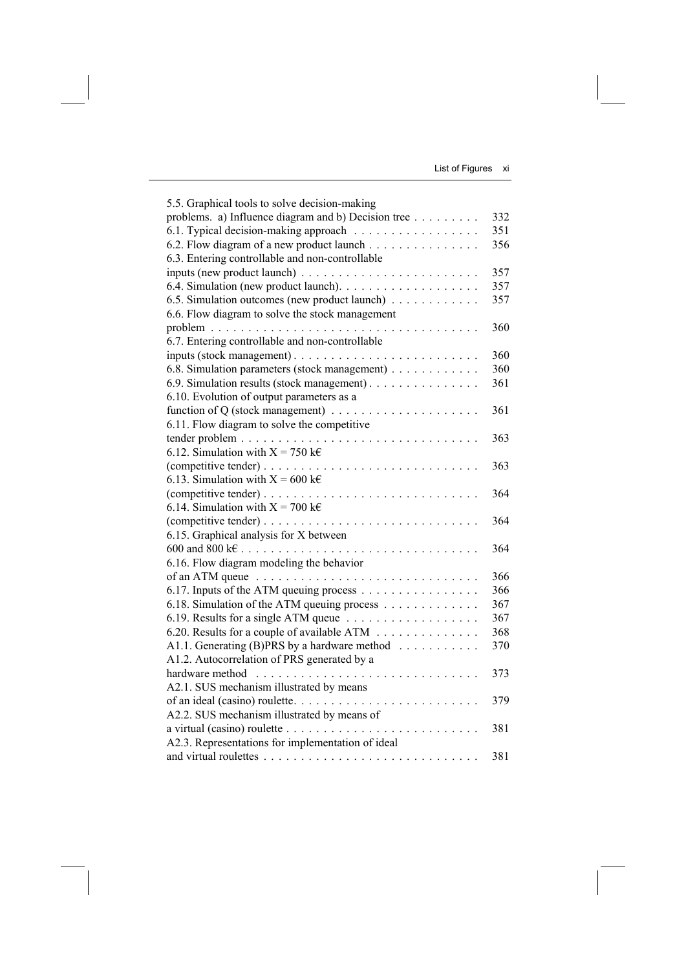List of Figures xi

| 5.5. Graphical tools to solve decision-making                                |     |
|------------------------------------------------------------------------------|-----|
| problems. a) Influence diagram and b) Decision tree                          | 332 |
| 6.1. Typical decision-making approach                                        | 351 |
| 6.2. Flow diagram of a new product launch                                    | 356 |
| 6.3. Entering controllable and non-controllable                              |     |
|                                                                              | 357 |
|                                                                              | 357 |
| 6.5. Simulation outcomes (new product launch)                                | 357 |
| 6.6. Flow diagram to solve the stock management                              |     |
|                                                                              | 360 |
| 6.7. Entering controllable and non-controllable                              |     |
|                                                                              | 360 |
| 6.8. Simulation parameters (stock management)                                | 360 |
| 6.9. Simulation results (stock management).                                  | 361 |
| 6.10. Evolution of output parameters as a                                    |     |
| function of Q (stock management) $\dots \dots \dots \dots \dots \dots \dots$ | 361 |
| 6.11. Flow diagram to solve the competitive                                  |     |
|                                                                              | 363 |
| 6.12. Simulation with $X = 750$ k $\epsilon$                                 |     |
|                                                                              | 363 |
| 6.13. Simulation with $X = 600 \text{ kg}$                                   |     |
|                                                                              | 364 |
| 6.14. Simulation with $X = 700 \text{ kg}$                                   |     |
|                                                                              | 364 |
| 6.15. Graphical analysis for X between                                       |     |
|                                                                              | 364 |
| 6.16. Flow diagram modeling the behavior                                     |     |
|                                                                              | 366 |
| 6.17. Inputs of the ATM queuing process                                      | 366 |
| 6.18. Simulation of the ATM queuing process                                  | 367 |
|                                                                              | 367 |
| 6.20. Results for a couple of available ATM                                  | 368 |
| A1.1. Generating (B)PRS by a hardware method                                 | 370 |
| A1.2. Autocorrelation of PRS generated by a                                  |     |
|                                                                              | 373 |
| A2.1. SUS mechanism illustrated by means                                     |     |
|                                                                              | 379 |
| A2.2. SUS mechanism illustrated by means of                                  |     |
|                                                                              | 381 |
| A2.3. Representations for implementation of ideal                            |     |
|                                                                              | 381 |